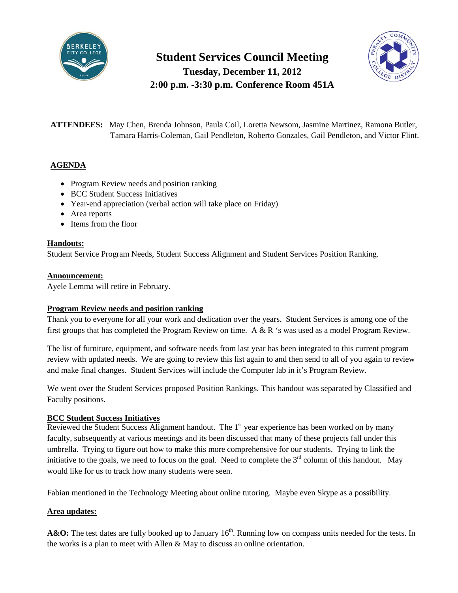

**Student Services Council Meeting**

**Tuesday, December 11, 2012 2:00 p.m. -3:30 p.m. Conference Room 451A**



**ATTENDEES:** May Chen, Brenda Johnson, Paula Coil, Loretta Newsom, Jasmine Martinez, Ramona Butler, Tamara Harris-Coleman, Gail Pendleton, Roberto Gonzales, Gail Pendleton, and Victor Flint.

## **AGENDA**

- Program Review needs and position ranking
- BCC Student Success Initiatives
- Year-end appreciation (verbal action will take place on Friday)
- Area reports
- Items from the floor

## **Handouts:**

Student Service Program Needs, Student Success Alignment and Student Services Position Ranking.

### **Announcement:**

Ayele Lemma will retire in February.

## **Program Review needs and position ranking**

Thank you to everyone for all your work and dedication over the years. Student Services is among one of the first groups that has completed the Program Review on time. A & R 's was used as a model Program Review.

The list of furniture, equipment, and software needs from last year has been integrated to this current program review with updated needs. We are going to review this list again to and then send to all of you again to review and make final changes. Student Services will include the Computer lab in it's Program Review.

We went over the Student Services proposed Position Rankings. This handout was separated by Classified and Faculty positions.

## **BCC Student Success Initiatives**

Reviewed the Student Success Alignment handout. The  $1<sup>st</sup>$  year experience has been worked on by many faculty, subsequently at various meetings and its been discussed that many of these projects fall under this umbrella. Trying to figure out how to make this more comprehensive for our students. Trying to link the initiative to the goals, we need to focus on the goal. Need to complete the  $3<sup>rd</sup>$  column of this handout. May would like for us to track how many students were seen.

Fabian mentioned in the Technology Meeting about online tutoring. Maybe even Skype as a possibility.

## **Area updates:**

**A&O:** The test dates are fully booked up to January 16<sup>th</sup>. Running low on compass units needed for the tests. In the works is a plan to meet with Allen & May to discuss an online orientation.